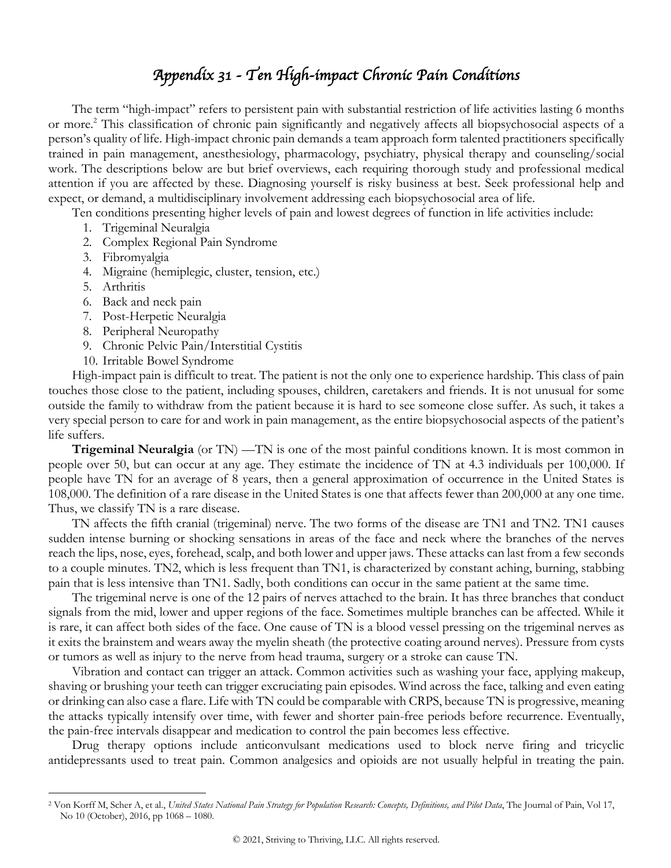## *Appendix 31 - Ten High-impact Chronic Pain Conditions*

The term "high-impact" refers to persistent pain with substantial restriction of life activities lasting 6 months or more.2 This classification of chronic pain significantly and negatively affects all biopsychosocial aspects of a person's quality of life. High-impact chronic pain demands a team approach form talented practitioners specifically trained in pain management, anesthesiology, pharmacology, psychiatry, physical therapy and counseling/social work. The descriptions below are but brief overviews, each requiring thorough study and professional medical attention if you are affected by these. Diagnosing yourself is risky business at best. Seek professional help and expect, or demand, a multidisciplinary involvement addressing each biopsychosocial area of life.

Ten conditions presenting higher levels of pain and lowest degrees of function in life activities include:

- 1. Trigeminal Neuralgia
- 2. Complex Regional Pain Syndrome
- 3. Fibromyalgia
- 4. Migraine (hemiplegic, cluster, tension, etc.)
- 5. Arthritis
- 6. Back and neck pain
- 7. Post-Herpetic Neuralgia
- 8. Peripheral Neuropathy
- 9. Chronic Pelvic Pain/Interstitial Cystitis
- 10. Irritable Bowel Syndrome

High-impact pain is difficult to treat. The patient is not the only one to experience hardship. This class of pain touches those close to the patient, including spouses, children, caretakers and friends. It is not unusual for some outside the family to withdraw from the patient because it is hard to see someone close suffer. As such, it takes a very special person to care for and work in pain management, as the entire biopsychosocial aspects of the patient's life suffers.

**Trigeminal Neuralgia** (or TN) —TN is one of the most painful conditions known. It is most common in people over 50, but can occur at any age. They estimate the incidence of TN at 4.3 individuals per 100,000. If people have TN for an average of 8 years, then a general approximation of occurrence in the United States is 108,000. The definition of a rare disease in the United States is one that affects fewer than 200,000 at any one time. Thus, we classify TN is a rare disease.

TN affects the fifth cranial (trigeminal) nerve. The two forms of the disease are TN1 and TN2. TN1 causes sudden intense burning or shocking sensations in areas of the face and neck where the branches of the nerves reach the lips, nose, eyes, forehead, scalp, and both lower and upper jaws. These attacks can last from a few seconds to a couple minutes. TN2, which is less frequent than TN1, is characterized by constant aching, burning, stabbing pain that is less intensive than TN1. Sadly, both conditions can occur in the same patient at the same time.

The trigeminal nerve is one of the 12 pairs of nerves attached to the brain. It has three branches that conduct signals from the mid, lower and upper regions of the face. Sometimes multiple branches can be affected. While it is rare, it can affect both sides of the face. One cause of TN is a blood vessel pressing on the trigeminal nerves as it exits the brainstem and wears away the myelin sheath (the protective coating around nerves). Pressure from cysts or tumors as well as injury to the nerve from head trauma, surgery or a stroke can cause TN.

Vibration and contact can trigger an attack. Common activities such as washing your face, applying makeup, shaving or brushing your teeth can trigger excruciating pain episodes. Wind across the face, talking and even eating or drinking can also case a flare. Life with TN could be comparable with CRPS, because TN is progressive, meaning the attacks typically intensify over time, with fewer and shorter pain-free periods before recurrence. Eventually, the pain-free intervals disappear and medication to control the pain becomes less effective.

Drug therapy options include anticonvulsant medications used to block nerve firing and tricyclic antidepressants used to treat pain. Common analgesics and opioids are not usually helpful in treating the pain.

<sup>&</sup>lt;sup>2</sup> Von Korff M, Scher A, et al., United States National Pain Strategy for Population Research: Concepts, Definitions, and Pilot Data, The Journal of Pain, Vol 17, No 10 (October), 2016, pp 1068 – 1080.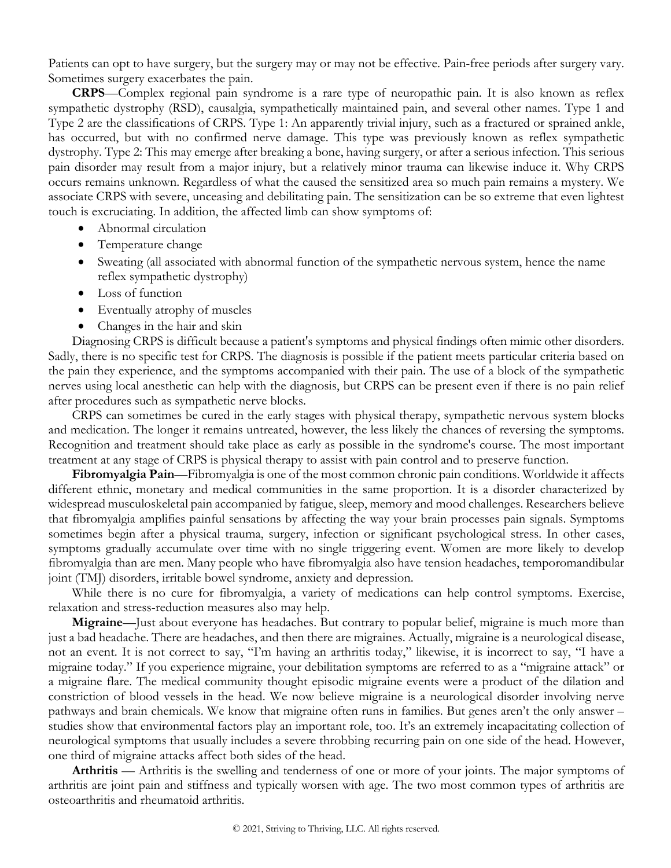Patients can opt to have surgery, but the surgery may or may not be effective. Pain-free periods after surgery vary. Sometimes surgery exacerbates the pain.

**CRPS**—Complex regional pain syndrome is a rare type of neuropathic pain. It is also known as reflex sympathetic dystrophy (RSD), causalgia, sympathetically maintained pain, and several other names. Type 1 and Type 2 are the classifications of CRPS. Type 1: An apparently trivial injury, such as a fractured or sprained ankle, has occurred, but with no confirmed nerve damage. This type was previously known as reflex sympathetic dystrophy. Type 2: This may emerge after breaking a bone, having surgery, or after a serious infection. This serious pain disorder may result from a major injury, but a relatively minor trauma can likewise induce it. Why CRPS occurs remains unknown. Regardless of what the caused the sensitized area so much pain remains a mystery. We associate CRPS with severe, unceasing and debilitating pain. The sensitization can be so extreme that even lightest touch is excruciating. In addition, the affected limb can show symptoms of:

- Abnormal circulation
- Temperature change
- Sweating (all associated with abnormal function of the sympathetic nervous system, hence the name reflex sympathetic dystrophy)
- Loss of function
- Eventually atrophy of muscles
- Changes in the hair and skin

Diagnosing CRPS is difficult because a patient's symptoms and physical findings often mimic other disorders. Sadly, there is no specific test for CRPS. The diagnosis is possible if the patient meets particular criteria based on the pain they experience, and the symptoms accompanied with their pain. The use of a block of the sympathetic nerves using local anesthetic can help with the diagnosis, but CRPS can be present even if there is no pain relief after procedures such as sympathetic nerve blocks.

CRPS can sometimes be cured in the early stages with physical therapy, sympathetic nervous system blocks and medication. The longer it remains untreated, however, the less likely the chances of reversing the symptoms. Recognition and treatment should take place as early as possible in the syndrome's course. The most important treatment at any stage of CRPS is physical therapy to assist with pain control and to preserve function.

**Fibromyalgia Pain**—Fibromyalgia is one of the most common chronic pain conditions. Worldwide it affects different ethnic, monetary and medical communities in the same proportion. It is a disorder characterized by widespread musculoskeletal pain accompanied by fatigue, sleep, memory and mood challenges. Researchers believe that fibromyalgia amplifies painful sensations by affecting the way your brain processes pain signals. Symptoms sometimes begin after a physical trauma, surgery, infection or significant psychological stress. In other cases, symptoms gradually accumulate over time with no single triggering event. Women are more likely to develop fibromyalgia than are men. Many people who have fibromyalgia also have tension headaches, temporomandibular joint (TMJ) disorders, irritable bowel syndrome, anxiety and depression.

While there is no cure for fibromyalgia, a variety of medications can help control symptoms. Exercise, relaxation and stress-reduction measures also may help.

**Migraine**—Just about everyone has headaches. But contrary to popular belief, migraine is much more than just a bad headache. There are headaches, and then there are migraines. Actually, migraine is a neurological disease, not an event. It is not correct to say, "I'm having an arthritis today," likewise, it is incorrect to say, "I have a migraine today." If you experience migraine, your debilitation symptoms are referred to as a "migraine attack" or a migraine flare. The medical community thought episodic migraine events were a product of the dilation and constriction of blood vessels in the head. We now believe migraine is a neurological disorder involving nerve pathways and brain chemicals. We know that migraine often runs in families. But genes aren't the only answer – studies show that environmental factors play an important role, too. It's an extremely incapacitating collection of neurological symptoms that usually includes a severe throbbing recurring pain on one side of the head. However, one third of migraine attacks affect both sides of the head.

**Arthritis** — Arthritis is the swelling and tenderness of one or more of your joints. The major symptoms of arthritis are joint pain and stiffness and typically worsen with age. The two most common types of arthritis are osteoarthritis and rheumatoid arthritis.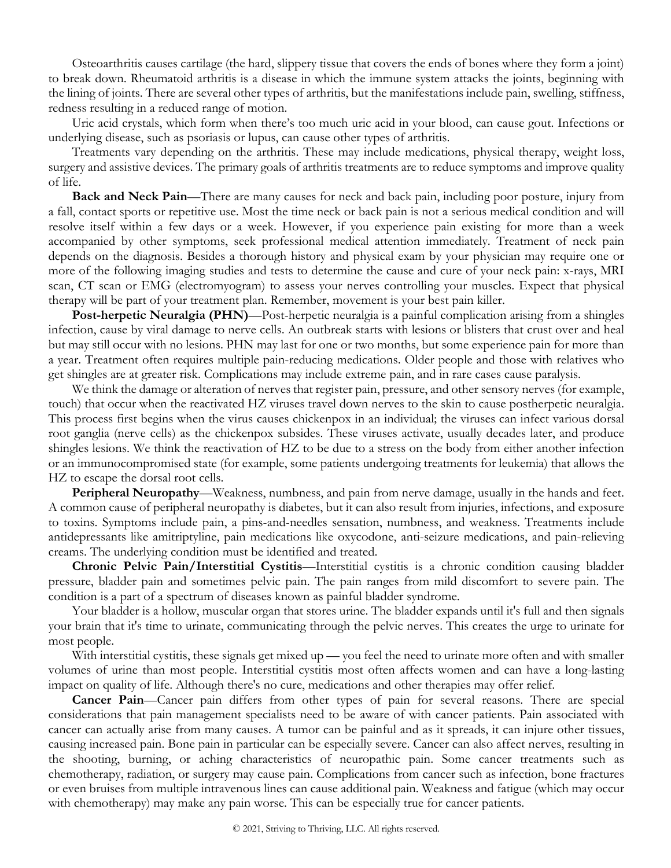Osteoarthritis causes cartilage (the hard, slippery tissue that covers the ends of bones where they form a joint) to break down. Rheumatoid arthritis is a disease in which the immune system attacks the joints, beginning with the lining of joints. There are several other types of arthritis, but the manifestations include pain, swelling, stiffness, redness resulting in a reduced range of motion.

Uric acid crystals, which form when there's too much uric acid in your blood, can cause gout. Infections or underlying disease, such as psoriasis or lupus, can cause other types of arthritis.

Treatments vary depending on the arthritis. These may include medications, physical therapy, weight loss, surgery and assistive devices. The primary goals of arthritis treatments are to reduce symptoms and improve quality of life.

**Back and Neck Pain**—There are many causes for neck and back pain, including poor posture, injury from a fall, contact sports or repetitive use. Most the time neck or back pain is not a serious medical condition and will resolve itself within a few days or a week. However, if you experience pain existing for more than a week accompanied by other symptoms, seek professional medical attention immediately. Treatment of neck pain depends on the diagnosis. Besides a thorough history and physical exam by your physician may require one or more of the following imaging studies and tests to determine the cause and cure of your neck pain: x-rays, MRI scan, CT scan or EMG (electromyogram) to assess your nerves controlling your muscles. Expect that physical therapy will be part of your treatment plan. Remember, movement is your best pain killer.

**Post-herpetic Neuralgia (PHN)**—Post-herpetic neuralgia is a painful complication arising from a shingles infection, cause by viral damage to nerve cells. An outbreak starts with lesions or blisters that crust over and heal but may still occur with no lesions. PHN may last for one or two months, but some experience pain for more than a year. Treatment often requires multiple pain-reducing medications. Older people and those with relatives who get shingles are at greater risk. Complications may include extreme pain, and in rare cases cause paralysis.

We think the damage or alteration of nerves that register pain, pressure, and other sensory nerves (for example, touch) that occur when the reactivated HZ viruses travel down nerves to the skin to cause postherpetic neuralgia. This process first begins when the virus causes chickenpox in an individual; the viruses can infect various dorsal root ganglia (nerve cells) as the chickenpox subsides. These viruses activate, usually decades later, and produce shingles lesions. We think the reactivation of HZ to be due to a stress on the body from either another infection or an immunocompromised state (for example, some patients undergoing treatments for leukemia) that allows the HZ to escape the dorsal root cells.

**Peripheral Neuropathy**—Weakness, numbness, and pain from nerve damage, usually in the hands and feet. A common cause of peripheral neuropathy is diabetes, but it can also result from injuries, infections, and exposure to toxins. Symptoms include pain, a pins-and-needles sensation, numbness, and weakness. Treatments include antidepressants like amitriptyline, pain medications like oxycodone, anti-seizure medications, and pain-relieving creams. The underlying condition must be identified and treated.

**Chronic Pelvic Pain/Interstitial Cystitis**—Interstitial cystitis is a chronic condition causing bladder pressure, bladder pain and sometimes pelvic pain. The pain ranges from mild discomfort to severe pain. The condition is a part of a spectrum of diseases known as painful bladder syndrome.

Your bladder is a hollow, muscular organ that stores urine. The bladder expands until it's full and then signals your brain that it's time to urinate, communicating through the pelvic nerves. This creates the urge to urinate for most people.

With interstitial cystitis, these signals get mixed up — you feel the need to urinate more often and with smaller volumes of urine than most people. Interstitial cystitis most often affects women and can have a long-lasting impact on quality of life. Although there's no cure, medications and other therapies may offer relief.

**Cancer Pain**—Cancer pain differs from other types of pain for several reasons. There are special considerations that pain management specialists need to be aware of with cancer patients. Pain associated with cancer can actually arise from many causes. A tumor can be painful and as it spreads, it can injure other tissues, causing increased pain. Bone pain in particular can be especially severe. Cancer can also affect nerves, resulting in the shooting, burning, or aching characteristics of neuropathic pain. Some cancer treatments such as chemotherapy, radiation, or surgery may cause pain. Complications from cancer such as infection, bone fractures or even bruises from multiple intravenous lines can cause additional pain. Weakness and fatigue (which may occur with chemotherapy) may make any pain worse. This can be especially true for cancer patients.